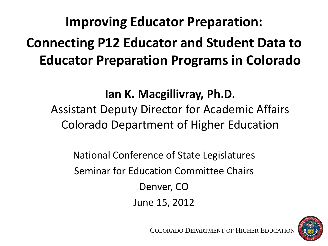#### **Improving Educator Preparation: Connecting P12 Educator and Student Data to Educator Preparation Programs in Colorado**

#### **Ian K. Macgillivray, Ph.D.**

#### Assistant Deputy Director for Academic Affairs Colorado Department of Higher Education

National Conference of State Legislatures Seminar for Education Committee Chairs Denver, CO June 15, 2012



COLORADO DEPARTMENT OF HIGHER EDUCATION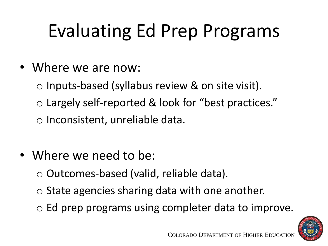# Evaluating Ed Prep Programs

- Where we are now:
	- $\circ$  Inputs-based (syllabus review & on site visit).
	- o Largely self-reported & look for "best practices."
	- o Inconsistent, unreliable data.
- Where we need to be:
	- o Outcomes-based (valid, reliable data).
	- $\circ$  State agencies sharing data with one another.
	- o Ed prep programs using completer data to improve.

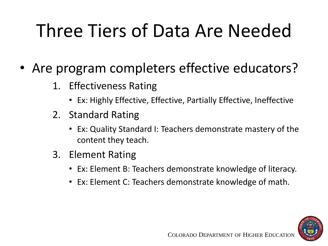## Three Tiers of Data Are Needed

- Are program completers effective educators?
	- 1. Effectiveness Rating
		- Ex: Highly Effective, Effective, Partially Effective, Ineffective
	- 2. Standard Rating
		- Ex: Quality Standard I: Teachers demonstrate mastery of the content they teach.
	- 3. Element Rating
		- Ex: Element B: Teachers demonstrate knowledge of literacy.
		- Ex: Element C: Teachers demonstrate knowledge of math.

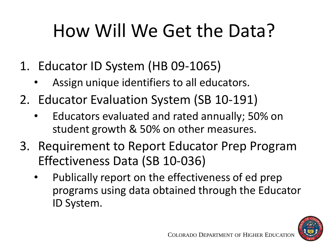## How Will We Get the Data?

- 1. Educator ID System (HB 09-1065)
	- Assign unique identifiers to all educators.
- 2. Educator Evaluation System (SB 10-191)
	- Educators evaluated and rated annually; 50% on student growth & 50% on other measures.
- 3. Requirement to Report Educator Prep Program Effectiveness Data (SB 10-036)
	- Publically report on the effectiveness of ed prep programs using data obtained through the Educator ID System.

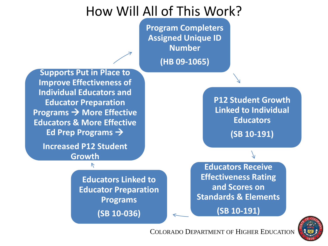#### How Will All of This Work?

**Program Completers Assigned Unique ID Number (HB 09-1065)**

**Supports Put in Place to Improve Effectiveness of Individual Educators and Educator Preparation Programs**  $\rightarrow$  **More Effective Educators & More Effective Ed Prep Programs** 

**Increased P12 Student Growth**

> **Educators Linked to Educator Preparation Programs (SB 10-036)**

**P12 Student Growth Linked to Individual Educators (SB 10-191)**

**Educators Receive Effectiveness Rating and Scores on Standards & Elements (SB 10-191)**

COLORADO DEPARTMENT OF HIGHER EDUCATION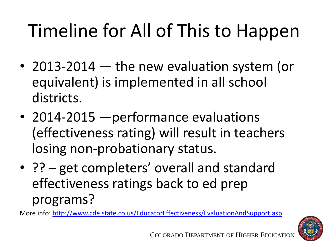# Timeline for All of This to Happen

- 2013-2014 the new evaluation system (or equivalent) is implemented in all school districts.
- 2014-2015 performance evaluations (effectiveness rating) will result in teachers losing non-probationary status.
- ?? get completers' overall and standard effectiveness ratings back to ed prep programs?

More info:<http://www.cde.state.co.us/EducatorEffectiveness/EvaluationAndSupport.asp>

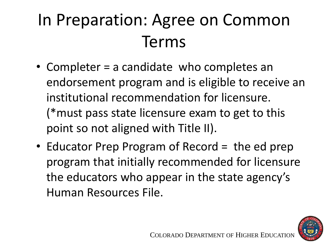## In Preparation: Agree on Common Terms

- Completer = a candidate who completes an endorsement program and is eligible to receive an institutional recommendation for licensure. (\*must pass state licensure exam to get to this point so not aligned with Title II).
- Educator Prep Program of Record = the ed prep program that initially recommended for licensure the educators who appear in the state agency's Human Resources File.

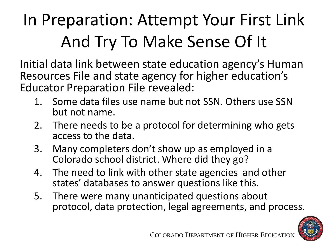## In Preparation: Attempt Your First Link And Try To Make Sense Of It

Initial data link between state education agency's Human Resources File and state agency for higher education's Educator Preparation File revealed:

- 1. Some data files use name but not SSN. Others use SSN but not name.
- 2. There needs to be a protocol for determining who gets access to the data.
- 3. Many completers don't show up as employed in a Colorado school district. Where did they go?
- 4. The need to link with other state agencies and other states' databases to answer questions like this.
- 5. There were many unanticipated questions about protocol, data protection, legal agreements, and process.

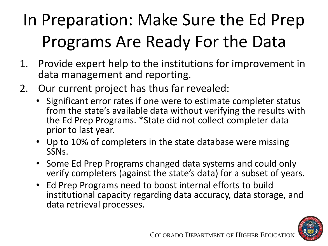## In Preparation: Make Sure the Ed Prep Programs Are Ready For the Data

- 1. Provide expert help to the institutions for improvement in data management and reporting.
- 2. Our current project has thus far revealed:
	- Significant error rates if one were to estimate completer status from the state's available data without verifying the results with the Ed Prep Programs. \*State did not collect completer data prior to last year.
	- Up to 10% of completers in the state database were missing SSNs.
	- Some Ed Prep Programs changed data systems and could only verify completers (against the state's data) for a subset of years.
	- Ed Prep Programs need to boost internal efforts to build institutional capacity regarding data accuracy, data storage, and data retrieval processes.

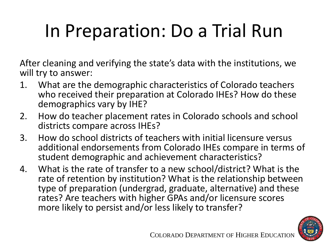# In Preparation: Do a Trial Run

After cleaning and verifying the state's data with the institutions, we will try to answer:

- 1. What are the demographic characteristics of Colorado teachers who received their preparation at Colorado IHEs? How do these demographics vary by IHE?
- 2. How do teacher placement rates in Colorado schools and school districts compare across IHEs?
- 3. How do school districts of teachers with initial licensure versus additional endorsements from Colorado IHEs compare in terms of student demographic and achievement characteristics?
- 4. What is the rate of transfer to a new school/district? What is the rate of retention by institution? What is the relationship between type of preparation (undergrad, graduate, alternative) and these rates? Are teachers with higher GPAs and/or licensure scores more likely to persist and/or less likely to transfer?

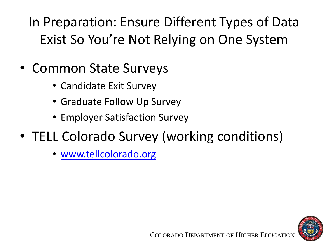In Preparation: Ensure Different Types of Data Exist So You're Not Relying on One System

- Common State Surveys
	- Candidate Exit Survey
	- Graduate Follow Up Survey
	- Employer Satisfaction Survey
- TELL Colorado Survey (working conditions)
	- [www.tellcolorado.org](http://www.tellcolorado.org/)

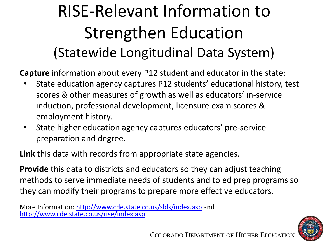### RISE-Relevant Information to Strengthen Education (Statewide Longitudinal Data System)

**Capture** information about every P12 student and educator in the state:

- State education agency captures P12 students' educational history, test scores & other measures of growth as well as educators' in-service induction, professional development, licensure exam scores & employment history.
- State higher education agency captures educators' pre-service preparation and degree.

**Link** this data with records from appropriate state agencies.

**Provide** this data to districts and educators so they can adjust teaching methods to serve immediate needs of students and to ed prep programs so they can modify their programs to prepare more effective educators.

More Information:<http://www.cde.state.co.us/slds/index.asp> and <http://www.cde.state.co.us/rise/index.asp>